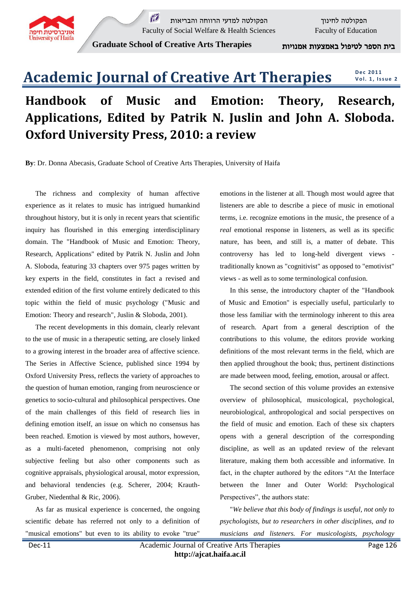

 $\widetilde{M}$  הפקולטה לחינוך הפקולטה למדעי הרווחה והבריאות Faculty of Social Welfare & Health Sciences<br>Faculty of Education

**Graduate School of Creative Arts Therapies** אמנויות באמצעות לטיפול הספר בית

#### **Academic Journal of Creative Art Therapies D e c 2011 Vol. 1, Issue 2**

# **Handbook of Music and Emotion: Theory, Research, Applications, Edited by Patrik N. Juslin and John A. Sloboda. Oxford University Press, 2010: a review**

**By**: Dr. Donna Abecasis, Graduate School of Creative Arts Therapies, University of Haifa

The richness and complexity of human affective experience as it relates to music has intrigued humankind throughout history, but it is only in recent years that scientific inquiry has flourished in this emerging interdisciplinary domain. The "Handbook of Music and Emotion: Theory, Research, Applications" edited by Patrik N. Juslin and John A. Sloboda, featuring 33 chapters over 975 pages written by key experts in the field, constitutes in fact a revised and extended edition of the first volume entirely dedicated to this topic within the field of music psychology ("Music and Emotion: Theory and research", Juslin & Sloboda, 2001).

The recent developments in this domain, clearly relevant to the use of music in a therapeutic setting, are closely linked to a growing interest in the broader area of affective science. The Series in Affective Science, published since 1994 by Oxford University Press, reflects the variety of approaches to the question of human emotion, ranging from neuroscience or genetics to socio-cultural and philosophical perspectives. One of the main challenges of this field of research lies in defining emotion itself, an issue on which no consensus has been reached. Emotion is viewed by most authors, however, as a multi-faceted phenomenon, comprising not only subjective feeling but also other components such as cognitive appraisals, physiological arousal, motor expression, and behavioral tendencies (e.g. Scherer, 2004; Krauth-Gruber, Niedenthal & Ric, 2006).

As far as musical experience is concerned, the ongoing scientific debate has referred not only to a definition of "musical emotions" but even to its ability to evoke "true"

emotions in the listener at all. Though most would agree that listeners are able to describe a piece of music in emotional terms, i.e. recognize emotions in the music, the presence of a *real* emotional response in listeners, as well as its specific nature, has been, and still is, a matter of debate. This controversy has led to long-held divergent views traditionally known as "cognitivist" as opposed to "emotivist" views - as well as to some terminological confusion.

In this sense, the introductory chapter of the "Handbook of Music and Emotion" is especially useful, particularly to those less familiar with the terminology inherent to this area of research. Apart from a general description of the contributions to this volume, the editors provide working definitions of the most relevant terms in the field, which are then applied throughout the book; thus, pertinent distinctions are made between mood, feeling, emotion, arousal or affect.

The second section of this volume provides an extensive overview of philosophical, musicological, psychological, neurobiological, anthropological and social perspectives on the field of music and emotion. Each of these six chapters opens with a general description of the corresponding discipline, as well as an updated review of the relevant literature, making them both accessible and informative. In fact, in the chapter authored by the editors "At the Interface between the Inner and Outer World: Psychological Perspectives", the authors state:

"*We believe that this body of findings is useful, not only to psychologists, but to researchers in other disciplines, and to musicians and listeners. For musicologists, psychology*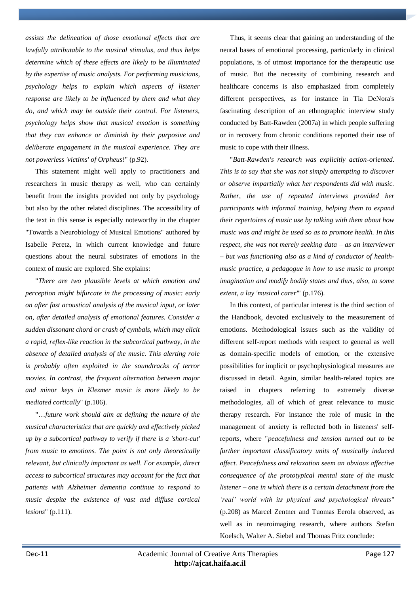*assists the delineation of those emotional effects that are lawfully attributable to the musical stimulus, and thus helps determine which of these effects are likely to be illuminated by the expertise of music analysts. For performing musicians, psychology helps to explain which aspects of listener response are likely to be influenced by them and what they do, and which may be outside their control. For listeners, psychology helps show that musical emotion is something that they can enhance or diminish by their purposive and deliberate engagement in the musical experience. They are not powerless 'victims' of Orpheus!*" (p.92).

This statement might well apply to practitioners and researchers in music therapy as well, who can certainly benefit from the insights provided not only by psychology but also by the other related disciplines. The accessibility of the text in this sense is especially noteworthy in the chapter "Towards a Neurobiology of Musical Emotions" authored by Isabelle Peretz, in which current knowledge and future questions about the neural substrates of emotions in the context of music are explored. She explains:

"*There are two plausible levels at which emotion and perception might bifurcate in the processing of music: early on after fast acoustical analysis of the musical input, or later on, after detailed analysis of emotional features. Consider a sudden dissonant chord or crash of cymbals, which may elicit a rapid, reflex-like reaction in the subcortical pathway, in the absence of detailed analysis of the music. This alerting role is probably often exploited in the soundtracks of terror movies. In contrast, the frequent alternation between major and minor keys in Klezmer music is more likely to be mediated cortically*" (p.106).

"…*future work should aim at defining the nature of the musical characteristics that are quickly and effectively picked up by a subcortical pathway to verify if there is a 'short-cut' from music to emotions. The point is not only theoretically relevant, but clinically important as well. For example, direct access to subcortical structures may account for the fact that patients with Alzheimer dementia continue to respond to music despite the existence of vast and diffuse cortical lesions*" (p.111).

Thus, it seems clear that gaining an understanding of the neural bases of emotional processing, particularly in clinical populations, is of utmost importance for the therapeutic use of music. But the necessity of combining research and healthcare concerns is also emphasized from completely different perspectives, as for instance in Tia DeNora's fascinating description of an ethnographic interview study conducted by Batt-Rawden (2007a) in which people suffering or in recovery from chronic conditions reported their use of music to cope with their illness.

"*Batt-Rawden's research was explicitly action-oriented. This is to say that she was not simply attempting to discover or observe impartially what her respondents did with music. Rather, the use of repeated interviews provided her participants with informal training, helping them to expand their repertoires of music use by talking with them about how music was and might be used so as to promote health. In this respect, she was not merely seeking data – as an interviewer – but was functioning also as a kind of conductor of healthmusic practice, a pedagogue in how to use music to prompt imagination and modify bodily states and thus, also, to some extent, a lay 'musical carer'*" (p.176).

In this context, of particular interest is the third section of the Handbook, devoted exclusively to the measurement of emotions. Methodological issues such as the validity of different self-report methods with respect to general as well as domain-specific models of emotion, or the extensive possibilities for implicit or psychophysiological measures are discussed in detail. Again, similar health-related topics are raised in chapters referring to extremely diverse methodologies, all of which of great relevance to music therapy research. For instance the role of music in the management of anxiety is reflected both in listeners' selfreports, where "*peacefulness and tension turned out to be further important classificatory units of musically induced affect. Peacefulness and relaxation seem an obvious affective consequence of the prototypical mental state of the music listener – one in which there is a certain detachment from the 'real' world with its physical and psychological threats*" (p.208) as Marcel Zentner and Tuomas Eerola observed, as well as in neuroimaging research, where authors Stefan Koelsch, Walter A. Siebel and Thomas Fritz conclude: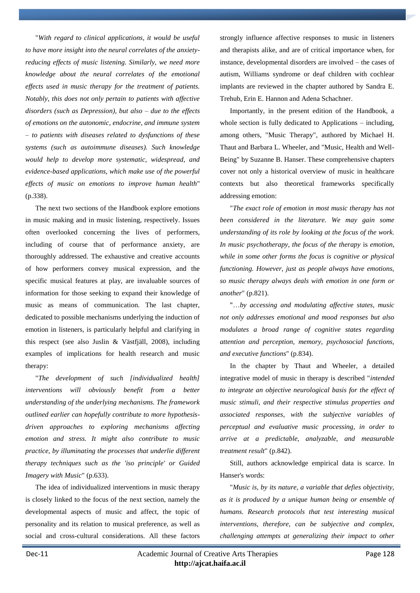"*With regard to clinical applications, it would be useful to have more insight into the neural correlates of the anxietyreducing effects of music listening. Similarly, we need more knowledge about the neural correlates of the emotional effects used in music therapy for the treatment of patients. Notably, this does not only pertain to patients with affective disorders (such as Depression), but also – due to the effects of emotions on the autonomic, endocrine, and immune system – to patients with diseases related to dysfunctions of these systems (such as autoimmune diseases). Such knowledge would help to develop more systematic, widespread, and evidence-based applications, which make use of the powerful effects of music on emotions to improve human health*" (p.338).

The next two sections of the Handbook explore emotions in music making and in music listening, respectively. Issues often overlooked concerning the lives of performers, including of course that of performance anxiety, are thoroughly addressed. The exhaustive and creative accounts of how performers convey musical expression, and the specific musical features at play, are invaluable sources of information for those seeking to expand their knowledge of music as means of communication. The last chapter, dedicated to possible mechanisms underlying the induction of emotion in listeners, is particularly helpful and clarifying in this respect (see also Juslin & Västfjäll, 2008), including examples of implications for health research and music therapy:

"*The development of such [individualized health] interventions will obviously benefit from a better understanding of the underlying mechanisms. The framework outlined earlier can hopefully contribute to more hypothesisdriven approaches to exploring mechanisms affecting emotion and stress. It might also contribute to music practice, by illuminating the processes that underlie different therapy techniques such as the 'iso principle' or Guided Imagery with Music*" (p.633).

The idea of individualized interventions in music therapy is closely linked to the focus of the next section, namely the developmental aspects of music and affect, the topic of personality and its relation to musical preference, as well as social and cross-cultural considerations. All these factors strongly influence affective responses to music in listeners and therapists alike, and are of critical importance when, for instance, developmental disorders are involved – the cases of autism, Williams syndrome or deaf children with cochlear implants are reviewed in the chapter authored by Sandra E. Trehub, Erin E. Hannon and Adena Schachner.

Importantly, in the present edition of the Handbook, a whole section is fully dedicated to Applications – including, among others, "Music Therapy", authored by Michael H. Thaut and Barbara L. Wheeler, and "Music, Health and Well-Being" by Suzanne B. Hanser. These comprehensive chapters cover not only a historical overview of music in healthcare contexts but also theoretical frameworks specifically addressing emotion:

"*The exact role of emotion in most music therapy has not been considered in the literature. We may gain some understanding of its role by looking at the focus of the work. In music psychotherapy, the focus of the therapy* is *emotion, while in some other forms the focus is cognitive or physical functioning. However, just as people always have emotions, so music therapy always deals with emotion in one form or another*" (p.821).

"…*by accessing and modulating affective states, music not only addresses emotional and mood responses but also modulates a broad range of cognitive states regarding attention and perception, memory, psychosocial functions, and executive functions*" (p.834).

In the chapter by Thaut and Wheeler, a detailed integrative model of music in therapy is described "*intended to integrate an objective neurological basis for the effect of music stimuli, and their respective stimulus properties and associated responses, with the subjective variables of perceptual and evaluative music processing, in order to arrive at a predictable, analyzable, and measurable treatment result*" (p.842).

Still, authors acknowledge empirical data is scarce. In Hanser's words:

"*Music is, by its nature, a variable that defies objectivity, as it is produced by a unique human being or ensemble of humans. Research protocols that test interesting musical interventions, therefore, can be subjective and complex, challenging attempts at generalizing their impact to other*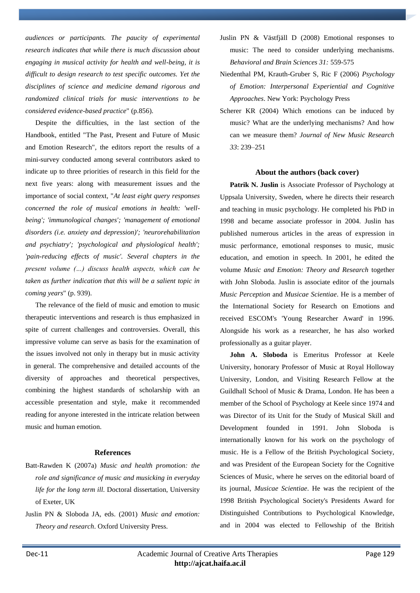*audiences or participants. The paucity of experimental research indicates that while there is much discussion about engaging in musical activity for health and well-being, it is difficult to design research to test specific outcomes. Yet the disciplines of science and medicine demand rigorous and randomized clinical trials for music interventions to be considered evidence-based practice*" (p.856).

Despite the difficulties, in the last section of the Handbook, entitled "The Past, Present and Future of Music and Emotion Research", the editors report the results of a mini-survey conducted among several contributors asked to indicate up to three priorities of research in this field for the next five years: along with measurement issues and the importance of social context, "*At least eight query responses concerned the role of musical emotions in health: 'wellbeing'; 'immunological changes'; 'management of emotional disorders (i.e. anxiety and depression)'; 'neurorehabilitation and psychiatry'; 'psychological and physiological health'; 'pain-reducing effects of music'. Several chapters in the present volume (…) discuss health aspects, which can be taken as further indication that this will be a salient topic in coming years*" (p. 939).

The relevance of the field of music and emotion to music therapeutic interventions and research is thus emphasized in spite of current challenges and controversies. Overall, this impressive volume can serve as basis for the examination of the issues involved not only in therapy but in music activity in general. The comprehensive and detailed accounts of the diversity of approaches and theoretical perspectives, combining the highest standards of scholarship with an accessible presentation and style, make it recommended reading for anyone interested in the intricate relation between music and human emotion.

### **References**

- Batt-Rawden K (2007a) *Music and health promotion: the role and significance of music and musicking in everyday life for the long term ill*. Doctoral dissertation, University of Exeter, UK
- Juslin PN & Sloboda JA, eds. (2001) *Music and emotion: Theory and research*. Oxford University Press.
- Juslin PN & Västfjäll D (2008) Emotional responses to music: The need to consider underlying mechanisms. *Behavioral and Brain Sciences 31:* 559-575
- Niedenthal PM, Krauth-Gruber S, Ric F (2006) *Psychology of Emotion: Interpersonal Experiential and Cognitive Approaches*. New York: Psychology Press
- Scherer KR (2004) Which emotions can be induced by music? What are the underlying mechanisms? And how can we measure them? *Journal of New Music Research 33*: 239–251

#### **About the authors (back cover)**

**Patrik N. Juslin** is Associate Professor of Psychology at Uppsala University, Sweden, where he directs their research and teaching in music psychology. He completed his PhD in 1998 and became associate professor in 2004. Juslin has published numerous articles in the areas of expression in music performance, emotional responses to music, music education, and emotion in speech. In 2001, he edited the volume *Music and Emotion: Theory and Research* together with John Sloboda. Juslin is associate editor of the journals *Music Perception* and *Musicae Scientiae*. He is a member of the International Society for Research on Emotions and received ESCOM's 'Young Researcher Award' in 1996. Alongside his work as a researcher, he has also worked professionally as a guitar player.

**John A. Sloboda** is Emeritus Professor at Keele University, honorary Professor of Music at Royal Holloway University, London, and Visiting Research Fellow at the Guildhall School of Music & Drama, London. He has been a member of the School of Psychology at Keele since 1974 and was Director of its Unit for the Study of Musical Skill and Development founded in 1991. John Sloboda is internationally known for his work on the psychology of music. He is a Fellow of the British Psychological Society, and was President of the European Society for the Cognitive Sciences of Music, where he serves on the editorial board of its journal, *Musicae Scientiae*. He was the recipient of the 1998 British Psychological Society's Presidents Award for Distinguished Contributions to Psychological Knowledge, and in 2004 was elected to Fellowship of the British